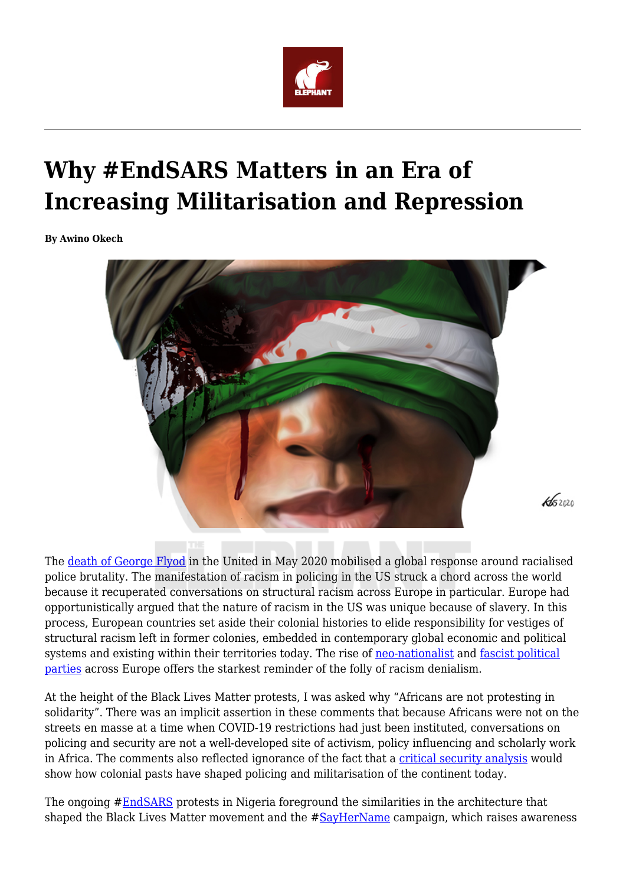

## **Why #EndSARS Matters in an Era of Increasing Militarisation and Repression**

**By Awino Okech**



The [death of George Flyod](https://en.wikipedia.org/wiki/Killing_of_George_Floyd) in the United in May 2020 mobilised a global response around racialised police brutality. The manifestation of racism in policing in the US struck a chord across the world because it recuperated conversations on structural racism across Europe in particular. Europe had opportunistically argued that the nature of racism in the US was unique because of slavery. In this process, European countries set aside their colonial histories to elide responsibility for vestiges of structural racism left in former colonies, embedded in contemporary global economic and political systems and existing within their territories today. The rise of [neo-nationalist](https://en.wikipedia.org/wiki/Alternative_for_Germany) and [fascist political](https://www.bbc.co.uk/news/world-europe-38321401) [parties](https://www.bbc.co.uk/news/world-europe-38321401) across Europe offers the starkest reminder of the folly of racism denialism.

At the height of the Black Lives Matter protests, I was asked why "Africans are not protesting in solidarity". There was an implicit assertion in these comments that because Africans were not on the streets en masse at a time when COVID-19 restrictions had just been instituted, conversations on policing and security are not a well-developed site of activism, policy influencing and scholarly work in Africa. The comments also reflected ignorance of the fact that a [critical security analysis](https://www.un.org/ruleoflaw/files/Olonisakin.pdf) would show how colonial pasts have shaped policing and militarisation of the continent today.

The ongoing #**EndSARS** protests in Nigeria foreground the similarities in the architecture that shaped the Black Lives Matter movement and the #[SayHerName](https://aapf.org/sayhername) campaign, which raises awareness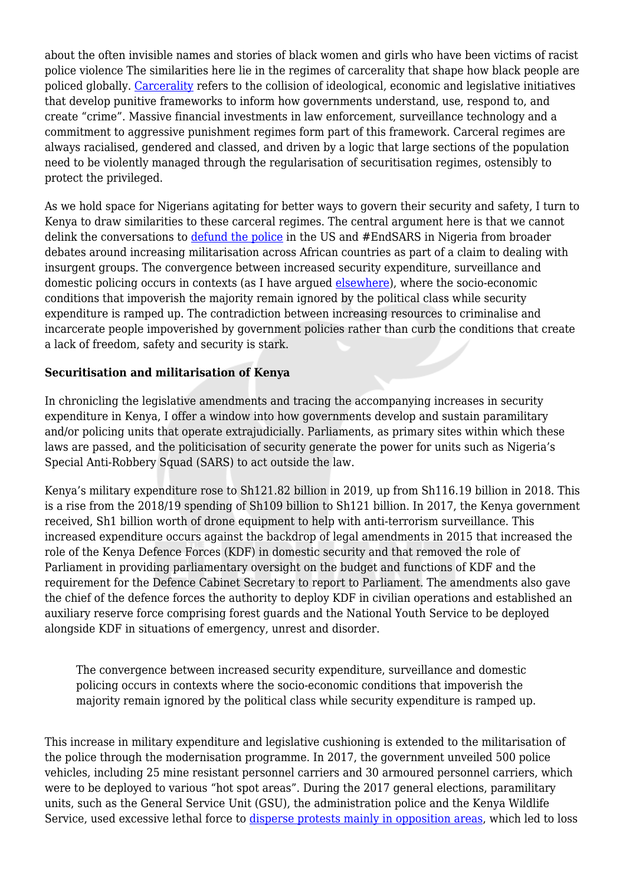about the often invisible names and stories of black women and girls who have been victims of racist police violence The similarities here lie in the regimes of carcerality that shape how black people are policed globally. [Carcerality](https://journals.sagepub.com/doi/full/10.1177/0886109919897576) refers to the collision of ideological, economic and legislative initiatives that develop punitive frameworks to inform how governments understand, use, respond to, and create "crime". Massive financial investments in law enforcement, surveillance technology and a commitment to aggressive punishment regimes form part of this framework. Carceral regimes are always racialised, gendered and classed, and driven by a logic that large sections of the population need to be violently managed through the regularisation of securitisation regimes, ostensibly to protect the privileged.

As we hold space for Nigerians agitating for better ways to govern their security and safety, I turn to Kenya to draw similarities to these carceral regimes. The central argument here is that we cannot delink the conversations to [defund the police](https://www.theguardian.com/us-news/2020/jun/05/defunding-the-police-us-what-does-it-mean) in the US and #EndSARS in Nigeria from broader debates around increasing militarisation across African countries as part of a claim to dealing with insurgent groups. The convergence between increased security expenditure, surveillance and domestic policing occurs in contexts (as I have argued [elsewhere](https://www.tandfonline.com/doi/abs/10.1080/23802014.2018.1502048)), where the socio-economic conditions that impoverish the majority remain ignored by the political class while security expenditure is ramped up. The contradiction between increasing resources to criminalise and incarcerate people impoverished by government policies rather than curb the conditions that create a lack of freedom, safety and security is stark.

## **Securitisation and militarisation of Kenya**

In chronicling the legislative amendments and tracing the accompanying increases in security expenditure in Kenya, I offer a window into how governments develop and sustain paramilitary and/or policing units that operate extrajudicially. Parliaments, as primary sites within which these laws are passed, and the politicisation of security generate the power for units such as Nigeria's Special Anti-Robbery Squad (SARS) to act outside the law.

Kenya's military expenditure rose to Sh121.82 billion in 2019, up from Sh116.19 billion in 2018. This is a rise from the 2018/19 spending of Sh109 billion to Sh121 billion. In 2017, the Kenya government received, Sh1 billion worth of drone equipment to help with anti-terrorism surveillance. This increased expenditure occurs against the backdrop of legal amendments in 2015 that increased the role of the Kenya Defence Forces (KDF) in domestic security and that removed the role of Parliament in providing parliamentary oversight on the budget and functions of KDF and the requirement for the Defence Cabinet Secretary to report to Parliament. The amendments also gave the chief of the defence forces the authority to deploy KDF in civilian operations and established an auxiliary reserve force comprising forest guards and the National Youth Service to be deployed alongside KDF in situations of emergency, unrest and disorder.

The convergence between increased security expenditure, surveillance and domestic policing occurs in contexts where the socio-economic conditions that impoverish the majority remain ignored by the political class while security expenditure is ramped up.

This increase in military expenditure and legislative cushioning is extended to the militarisation of the police through the modernisation programme. In 2017, the government unveiled 500 police vehicles, including 25 mine resistant personnel carriers and 30 armoured personnel carriers, which were to be deployed to various "hot spot areas". During the 2017 general elections, paramilitary units, such as the General Service Unit (GSU), the administration police and the Kenya Wildlife Service, used excessive lethal force to [disperse protests mainly in opposition areas](https://www.hrw.org/report/2017/10/15/kill-those-criminals/security-forces-violations-kenyas-august-2017-elections), which led to loss